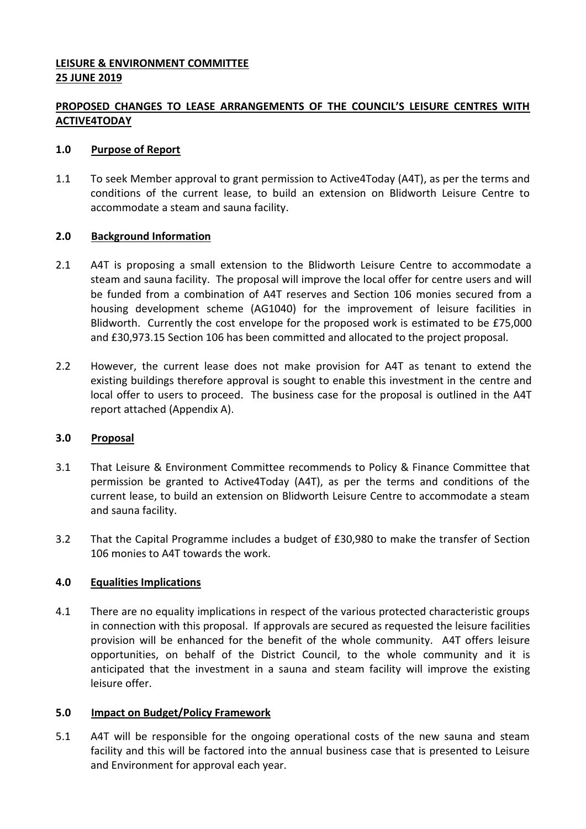## **LEISURE & ENVIRONMENT COMMITTEE 25 JUNE 2019**

# **PROPOSED CHANGES TO LEASE ARRANGEMENTS OF THE COUNCIL'S LEISURE CENTRES WITH ACTIVE4TODAY**

## **1.0 Purpose of Report**

1.1 To seek Member approval to grant permission to Active4Today (A4T), as per the terms and conditions of the current lease, to build an extension on Blidworth Leisure Centre to accommodate a steam and sauna facility.

## **2.0 Background Information**

- 2.1 A4T is proposing a small extension to the Blidworth Leisure Centre to accommodate a steam and sauna facility. The proposal will improve the local offer for centre users and will be funded from a combination of A4T reserves and Section 106 monies secured from a housing development scheme (AG1040) for the improvement of leisure facilities in Blidworth. Currently the cost envelope for the proposed work is estimated to be £75,000 and £30,973.15 Section 106 has been committed and allocated to the project proposal.
- 2.2 However, the current lease does not make provision for A4T as tenant to extend the existing buildings therefore approval is sought to enable this investment in the centre and local offer to users to proceed. The business case for the proposal is outlined in the A4T report attached (Appendix A).

### **3.0 Proposal**

- 3.1 That Leisure & Environment Committee recommends to Policy & Finance Committee that permission be granted to Active4Today (A4T), as per the terms and conditions of the current lease, to build an extension on Blidworth Leisure Centre to accommodate a steam and sauna facility.
- 3.2 That the Capital Programme includes a budget of £30,980 to make the transfer of Section 106 monies to A4T towards the work.

## **4.0 Equalities Implications**

4.1 There are no equality implications in respect of the various protected characteristic groups in connection with this proposal. If approvals are secured as requested the leisure facilities provision will be enhanced for the benefit of the whole community. A4T offers leisure opportunities, on behalf of the District Council, to the whole community and it is anticipated that the investment in a sauna and steam facility will improve the existing leisure offer.

### **5.0 Impact on Budget/Policy Framework**

5.1 A4T will be responsible for the ongoing operational costs of the new sauna and steam facility and this will be factored into the annual business case that is presented to Leisure and Environment for approval each year.